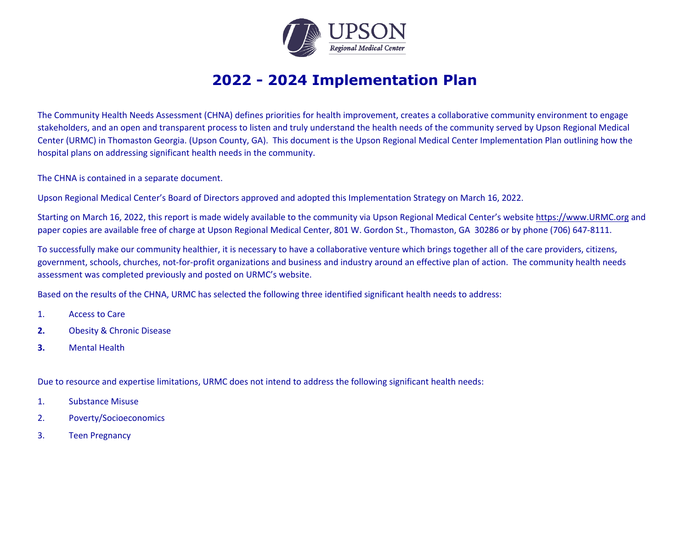

## **2022 - 2024 Implementation Plan**

The Community Health Needs Assessment (CHNA) defines priorities for health improvement, creates a collaborative community environment to engage stakeholders, and an open and transparent process to listen and truly understand the health needs of the community served by Upson Regional Medical Center (URMC) in Thomaston Georgia. (Upson County, GA). This document is the Upson Regional Medical Center Implementation Plan outlining how the hospital plans on addressing significant health needs in the community.

The CHNA is contained in a separate document.

Upson Regional Medical Center's Board of Directors approved and adopted this Implementation Strategy on March 16, 2022.

Starting on March 16, 2022, this report is made widely available to the community via Upson Regional Medical Center's website https://www.URMC.org and paper copies are available free of charge at Upson Regional Medical Center, 801 W. Gordon St., Thomaston, GA 30286 or by phone (706) 647-8111.

To successfully make our community healthier, it is necessary to have a collaborative venture which brings together all of the care providers, citizens, government, schools, churches, not-for-profit organizations and business and industry around an effective plan of action. The community health needs assessment was completed previously and posted on URMC's website.

Based on the results of the CHNA, URMC has selected the following three identified significant health needs to address:

- 1. Access to Care
- **2.** Obesity & Chronic Disease
- **3.** Mental Health

Due to resource and expertise limitations, URMC does not intend to address the following significant health needs:

- 1. Substance Misuse
- 2. Poverty/Socioeconomics
- 3. Teen Pregnancy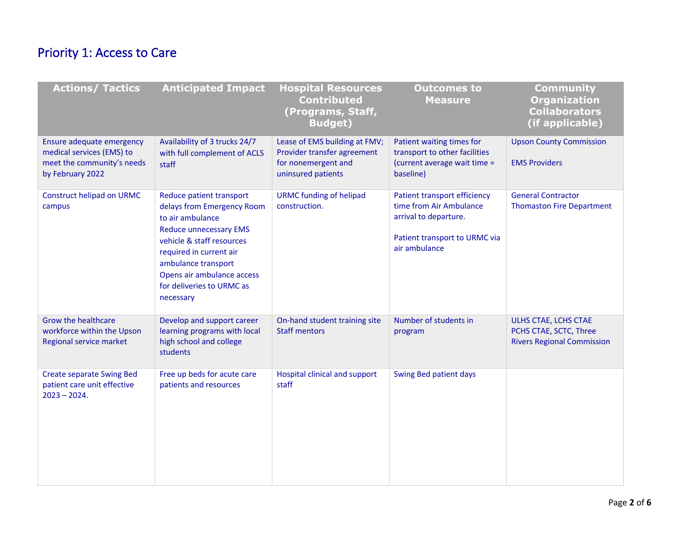## Priority 1: Access to Care

| <b>Actions/ Tactics</b>                                                                                  | <b>Anticipated Impact</b>                                                                                                                                                                                                                                          | <b>Hospital Resources</b><br><b>Contributed</b><br>(Programs, Staff,<br><b>Budget)</b>                    | <b>Outcomes to</b><br><b>Measure</b>                                                                                               | <b>Community</b><br><b>Organization</b><br><b>Collaborators</b><br>(if applicable)  |
|----------------------------------------------------------------------------------------------------------|--------------------------------------------------------------------------------------------------------------------------------------------------------------------------------------------------------------------------------------------------------------------|-----------------------------------------------------------------------------------------------------------|------------------------------------------------------------------------------------------------------------------------------------|-------------------------------------------------------------------------------------|
| Ensure adequate emergency<br>medical services (EMS) to<br>meet the community's needs<br>by February 2022 | Availability of 3 trucks 24/7<br>with full complement of ACLS<br>staff                                                                                                                                                                                             | Lease of EMS building at FMV;<br>Provider transfer agreement<br>for nonemergent and<br>uninsured patients | Patient waiting times for<br>transport to other facilities<br>(current average wait time =<br>baseline)                            | <b>Upson County Commission</b><br><b>EMS Providers</b>                              |
| Construct helipad on URMC<br>campus                                                                      | Reduce patient transport<br>delays from Emergency Room<br>to air ambulance<br><b>Reduce unnecessary EMS</b><br>vehicle & staff resources<br>required in current air<br>ambulance transport<br>Opens air ambulance access<br>for deliveries to URMC as<br>necessary | <b>URMC funding of helipad</b><br>construction.                                                           | Patient transport efficiency<br>time from Air Ambulance<br>arrival to departure.<br>Patient transport to URMC via<br>air ambulance | <b>General Contractor</b><br><b>Thomaston Fire Department</b>                       |
| Grow the healthcare<br>workforce within the Upson<br>Regional service market                             | Develop and support career<br>learning programs with local<br>high school and college<br>students                                                                                                                                                                  | On-hand student training site<br><b>Staff mentors</b>                                                     | Number of students in<br>program                                                                                                   | ULHS CTAE, LCHS CTAE<br>PCHS CTAE, SCTC, Three<br><b>Rivers Regional Commission</b> |
| <b>Create separate Swing Bed</b><br>patient care unit effective<br>$2023 - 2024.$                        | Free up beds for acute care<br>patients and resources                                                                                                                                                                                                              | <b>Hospital clinical and support</b><br>staff                                                             | Swing Bed patient days                                                                                                             |                                                                                     |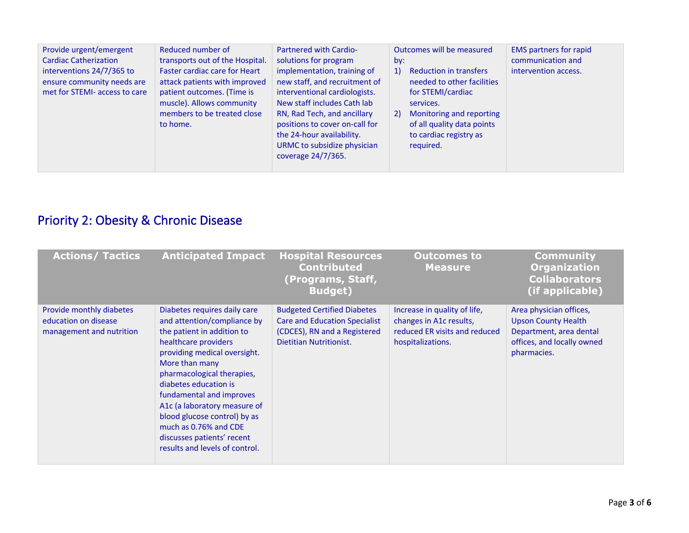| Provide urgent/emergent<br>Reduced number of<br><b>Cardiac Catherization</b><br>transports out of the Hospital.<br><b>Faster cardiac care for Heart</b><br>interventions 24/7/365 to<br>ensure community needs are<br>attack patients with improved<br>met for STEMI- access to care<br>patient outcomes. (Time is<br>muscle). Allows community<br>members to be treated close<br>to home. | <b>Partnered with Cardio-</b><br>solutions for program<br>implementation, training of<br>new staff, and recruitment of<br>interventional cardiologists.<br>New staff includes Cath lab<br>RN, Rad Tech, and ancillary<br>positions to cover on-call for<br>the 24-hour availability.<br>URMC to subsidize physician<br>coverage 24/7/365. | Outcomes will be measured<br>bv:<br><b>Reduction in transfers</b><br>1)<br>needed to other facilities<br>for STEMI/cardiac<br>services.<br>Monitoring and reporting<br>2)<br>of all quality data points<br>to cardiac registry as<br>required. | <b>EMS partners for rapid</b><br>communication and<br>intervention access. |
|--------------------------------------------------------------------------------------------------------------------------------------------------------------------------------------------------------------------------------------------------------------------------------------------------------------------------------------------------------------------------------------------|-------------------------------------------------------------------------------------------------------------------------------------------------------------------------------------------------------------------------------------------------------------------------------------------------------------------------------------------|------------------------------------------------------------------------------------------------------------------------------------------------------------------------------------------------------------------------------------------------|----------------------------------------------------------------------------|
|--------------------------------------------------------------------------------------------------------------------------------------------------------------------------------------------------------------------------------------------------------------------------------------------------------------------------------------------------------------------------------------------|-------------------------------------------------------------------------------------------------------------------------------------------------------------------------------------------------------------------------------------------------------------------------------------------------------------------------------------------|------------------------------------------------------------------------------------------------------------------------------------------------------------------------------------------------------------------------------------------------|----------------------------------------------------------------------------|

## Priority 2: Obesity & Chronic Disease

| <b>Actions/ Tactics</b>                                                      | <b>Anticipated Impact</b>                                                                                                                                                                                                                                                                                                                                                                                       | <b>Hospital Resources</b><br><b>Contributed</b><br>(Programs, Staff,<br><b>Budget</b> )                                               | <b>Outcomes to</b><br><b>Measure</b>                                                                          | <b>Community</b><br><b>Organization</b><br><b>Collaborators</b><br>(if applicable)                                            |
|------------------------------------------------------------------------------|-----------------------------------------------------------------------------------------------------------------------------------------------------------------------------------------------------------------------------------------------------------------------------------------------------------------------------------------------------------------------------------------------------------------|---------------------------------------------------------------------------------------------------------------------------------------|---------------------------------------------------------------------------------------------------------------|-------------------------------------------------------------------------------------------------------------------------------|
| Provide monthly diabetes<br>education on disease<br>management and nutrition | Diabetes requires daily care<br>and attention/compliance by<br>the patient in addition to<br>healthcare providers<br>providing medical oversight.<br>More than many<br>pharmacological therapies,<br>diabetes education is<br>fundamental and improves<br>A1c (a laboratory measure of<br>blood glucose control) by as<br>much as 0.76% and CDE<br>discusses patients' recent<br>results and levels of control. | <b>Budgeted Certified Diabetes</b><br><b>Care and Education Specialist</b><br>(CDCES), RN and a Registered<br>Dietitian Nutritionist. | Increase in quality of life,<br>changes in A1c results,<br>reduced ER visits and reduced<br>hospitalizations. | Area physician offices,<br><b>Upson County Health</b><br>Department, area dental<br>offices, and locally owned<br>pharmacies. |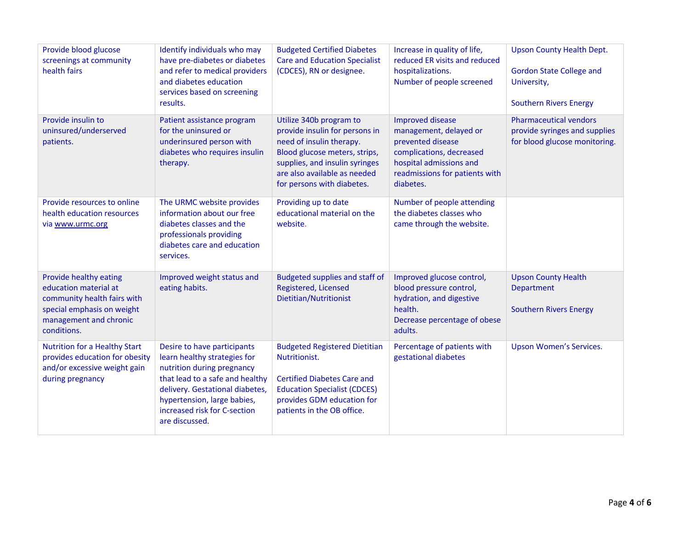| Provide blood glucose<br>screenings at community<br>health fairs                                                                                      | Identify individuals who may<br>have pre-diabetes or diabetes<br>and refer to medical providers<br>and diabetes education<br>services based on screening<br>results.                                                                             | <b>Budgeted Certified Diabetes</b><br><b>Care and Education Specialist</b><br>(CDCES), RN or designee.                                                                                                                 | Increase in quality of life,<br>reduced ER visits and reduced<br>hospitalizations.<br>Number of people screened                                                              | <b>Upson County Health Dept.</b><br><b>Gordon State College and</b><br>University,<br><b>Southern Rivers Energy</b> |
|-------------------------------------------------------------------------------------------------------------------------------------------------------|--------------------------------------------------------------------------------------------------------------------------------------------------------------------------------------------------------------------------------------------------|------------------------------------------------------------------------------------------------------------------------------------------------------------------------------------------------------------------------|------------------------------------------------------------------------------------------------------------------------------------------------------------------------------|---------------------------------------------------------------------------------------------------------------------|
| Provide insulin to<br>uninsured/underserved<br>patients.                                                                                              | Patient assistance program<br>for the uninsured or<br>underinsured person with<br>diabetes who requires insulin<br>therapy.                                                                                                                      | Utilize 340b program to<br>provide insulin for persons in<br>need of insulin therapy.<br>Blood glucose meters, strips,<br>supplies, and insulin syringes<br>are also available as needed<br>for persons with diabetes. | <b>Improved disease</b><br>management, delayed or<br>prevented disease<br>complications, decreased<br>hospital admissions and<br>readmissions for patients with<br>diabetes. | <b>Pharmaceutical vendors</b><br>provide syringes and supplies<br>for blood glucose monitoring.                     |
| Provide resources to online<br>health education resources<br>via www.urmc.org                                                                         | The URMC website provides<br>information about our free<br>diabetes classes and the<br>professionals providing<br>diabetes care and education<br>services.                                                                                       | Providing up to date<br>educational material on the<br>website.                                                                                                                                                        | Number of people attending<br>the diabetes classes who<br>came through the website.                                                                                          |                                                                                                                     |
| Provide healthy eating<br>education material at<br>community health fairs with<br>special emphasis on weight<br>management and chronic<br>conditions. | Improved weight status and<br>eating habits.                                                                                                                                                                                                     | Budgeted supplies and staff of<br>Registered, Licensed<br>Dietitian/Nutritionist                                                                                                                                       | Improved glucose control,<br>blood pressure control,<br>hydration, and digestive<br>health.<br>Decrease percentage of obese<br>adults.                                       | <b>Upson County Health</b><br>Department<br><b>Southern Rivers Energy</b>                                           |
| Nutrition for a Healthy Start<br>provides education for obesity<br>and/or excessive weight gain<br>during pregnancy                                   | Desire to have participants<br>learn healthy strategies for<br>nutrition during pregnancy<br>that lead to a safe and healthy<br>delivery. Gestational diabetes,<br>hypertension, large babies,<br>increased risk for C-section<br>are discussed. | <b>Budgeted Registered Dietitian</b><br>Nutritionist.<br><b>Certified Diabetes Care and</b><br><b>Education Specialist (CDCES)</b><br>provides GDM education for<br>patients in the OB office.                         | Percentage of patients with<br>gestational diabetes                                                                                                                          | <b>Upson Women's Services.</b>                                                                                      |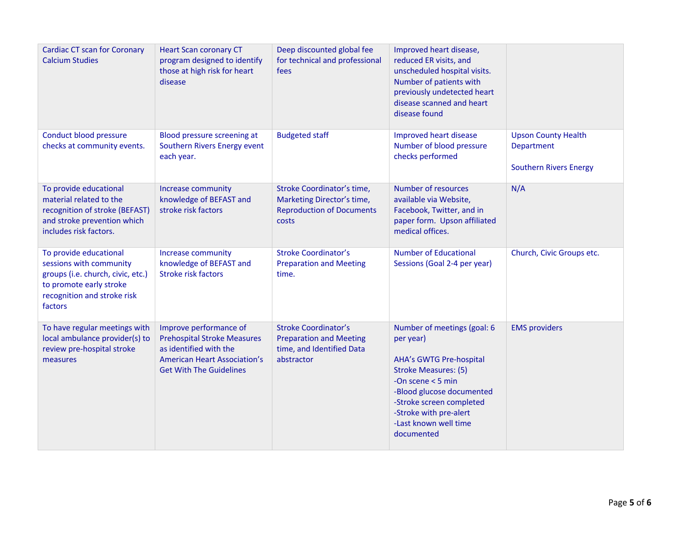| <b>Cardiac CT scan for Coronary</b><br><b>Calcium Studies</b>                                                                                               | <b>Heart Scan coronary CT</b><br>program designed to identify<br>those at high risk for heart<br>disease                                                        | Deep discounted global fee<br>for technical and professional<br>fees                                     | Improved heart disease,<br>reduced ER visits, and<br>unscheduled hospital visits.<br>Number of patients with<br>previously undetected heart<br>disease scanned and heart<br>disease found                                                                  |                                                                                  |
|-------------------------------------------------------------------------------------------------------------------------------------------------------------|-----------------------------------------------------------------------------------------------------------------------------------------------------------------|----------------------------------------------------------------------------------------------------------|------------------------------------------------------------------------------------------------------------------------------------------------------------------------------------------------------------------------------------------------------------|----------------------------------------------------------------------------------|
| Conduct blood pressure<br>checks at community events.                                                                                                       | Blood pressure screening at<br>Southern Rivers Energy event<br>each year.                                                                                       | <b>Budgeted staff</b>                                                                                    | Improved heart disease<br>Number of blood pressure<br>checks performed                                                                                                                                                                                     | <b>Upson County Health</b><br><b>Department</b><br><b>Southern Rivers Energy</b> |
| To provide educational<br>material related to the<br>recognition of stroke (BEFAST)<br>and stroke prevention which<br>includes risk factors.                | Increase community<br>knowledge of BEFAST and<br>stroke risk factors                                                                                            | Stroke Coordinator's time,<br>Marketing Director's time,<br><b>Reproduction of Documents</b><br>costs    | Number of resources<br>available via Website,<br>Facebook, Twitter, and in<br>paper form. Upson affiliated<br>medical offices.                                                                                                                             | N/A                                                                              |
| To provide educational<br>sessions with community<br>groups (i.e. church, civic, etc.)<br>to promote early stroke<br>recognition and stroke risk<br>factors | <b>Increase community</b><br>knowledge of BEFAST and<br><b>Stroke risk factors</b>                                                                              | <b>Stroke Coordinator's</b><br><b>Preparation and Meeting</b><br>time.                                   | <b>Number of Educational</b><br>Sessions (Goal 2-4 per year)                                                                                                                                                                                               | Church, Civic Groups etc.                                                        |
| To have regular meetings with<br>local ambulance provider(s) to<br>review pre-hospital stroke<br>measures                                                   | Improve performance of<br><b>Prehospital Stroke Measures</b><br>as identified with the<br><b>American Heart Association's</b><br><b>Get With The Guidelines</b> | <b>Stroke Coordinator's</b><br><b>Preparation and Meeting</b><br>time, and Identified Data<br>abstractor | Number of meetings (goal: 6<br>per year)<br><b>AHA's GWTG Pre-hospital</b><br><b>Stroke Measures: (5)</b><br>-On scene $<$ 5 min<br>-Blood glucose documented<br>-Stroke screen completed<br>-Stroke with pre-alert<br>-Last known well time<br>documented | <b>EMS</b> providers                                                             |